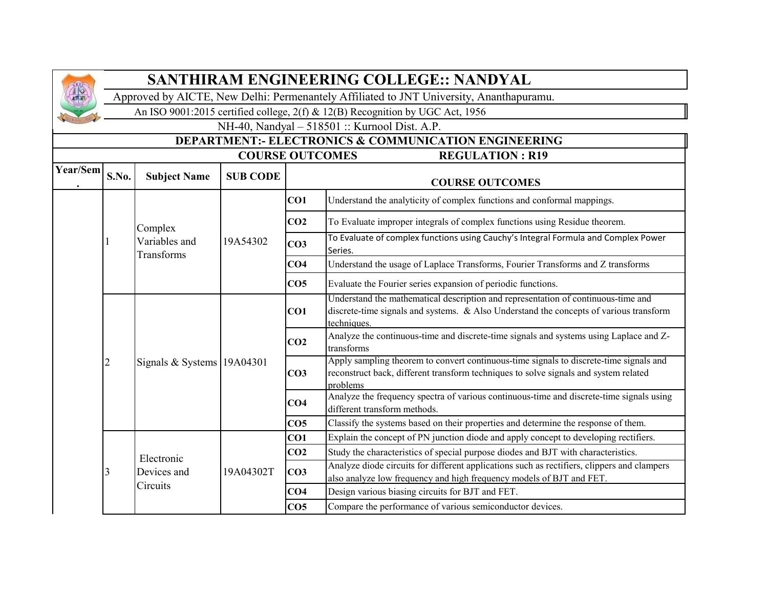

## **SANTHIRAM ENGINEERING COLLEGE:: NANDYAL**

Approved by AICTE, New Delhi: Permenantely Affiliated to JNT University, Ananthapuramu.

An ISO 9001:2015 certified college, 2(f) & 12(B) Recognition by UGC Act, 1956

NH-40, Nandyal – 518501 :: Kurnool Dist. A.P.

**DEPARTMENT:- ELECTRONICS & COMMUNICATION ENGINEERING** 

|          | <b>COURSE OUTCOMES</b><br><b>REGULATION: R19</b> |                             |                 |                 |                                                                                                                                                                                            |  |  |
|----------|--------------------------------------------------|-----------------------------|-----------------|-----------------|--------------------------------------------------------------------------------------------------------------------------------------------------------------------------------------------|--|--|
| Year/Sem | S.No.                                            | <b>Subject Name</b>         | <b>SUB CODE</b> |                 | <b>COURSE OUTCOMES</b>                                                                                                                                                                     |  |  |
|          |                                                  |                             |                 | CO1             | Understand the analyticity of complex functions and conformal mappings.                                                                                                                    |  |  |
|          |                                                  | Complex                     |                 | CO <sub>2</sub> | To Evaluate improper integrals of complex functions using Residue theorem.                                                                                                                 |  |  |
|          |                                                  | Variables and<br>Transforms | 19A54302        | CO <sub>3</sub> | To Evaluate of complex functions using Cauchy's Integral Formula and Complex Power<br>Series.                                                                                              |  |  |
|          |                                                  |                             |                 | CO <sub>4</sub> | Understand the usage of Laplace Transforms, Fourier Transforms and Z transforms                                                                                                            |  |  |
|          |                                                  |                             |                 | CO <sub>5</sub> | Evaluate the Fourier series expansion of periodic functions.                                                                                                                               |  |  |
|          |                                                  | Signals & Systems 19A04301  |                 | CO1             | Understand the mathematical description and representation of continuous-time and<br>discrete-time signals and systems. & Also Understand the concepts of various transform<br>techniques. |  |  |
|          |                                                  |                             |                 | CO <sub>2</sub> | Analyze the continuous-time and discrete-time signals and systems using Laplace and Z-<br>transforms                                                                                       |  |  |
|          |                                                  |                             |                 | CO <sub>3</sub> | Apply sampling theorem to convert continuous-time signals to discrete-time signals and<br>reconstruct back, different transform techniques to solve signals and system related<br>problems |  |  |
|          |                                                  |                             |                 | CO <sub>4</sub> | Analyze the frequency spectra of various continuous-time and discrete-time signals using<br>different transform methods.                                                                   |  |  |
|          |                                                  |                             |                 | CO <sub>5</sub> | Classify the systems based on their properties and determine the response of them.                                                                                                         |  |  |
|          |                                                  |                             |                 | CO1             | Explain the concept of PN junction diode and apply concept to developing rectifiers.                                                                                                       |  |  |
|          |                                                  | Electronic                  |                 | CO <sub>2</sub> | Study the characteristics of special purpose diodes and BJT with characteristics.                                                                                                          |  |  |
|          | 3                                                | Devices and                 | 19A04302T       | CO <sub>3</sub> | Analyze diode circuits for different applications such as rectifiers, clippers and clampers<br>also analyze low frequency and high frequency models of BJT and FET.                        |  |  |
|          |                                                  | Circuits                    |                 | CO <sub>4</sub> | Design various biasing circuits for BJT and FET.                                                                                                                                           |  |  |
|          |                                                  |                             |                 | CO <sub>5</sub> | Compare the performance of various semiconductor devices.                                                                                                                                  |  |  |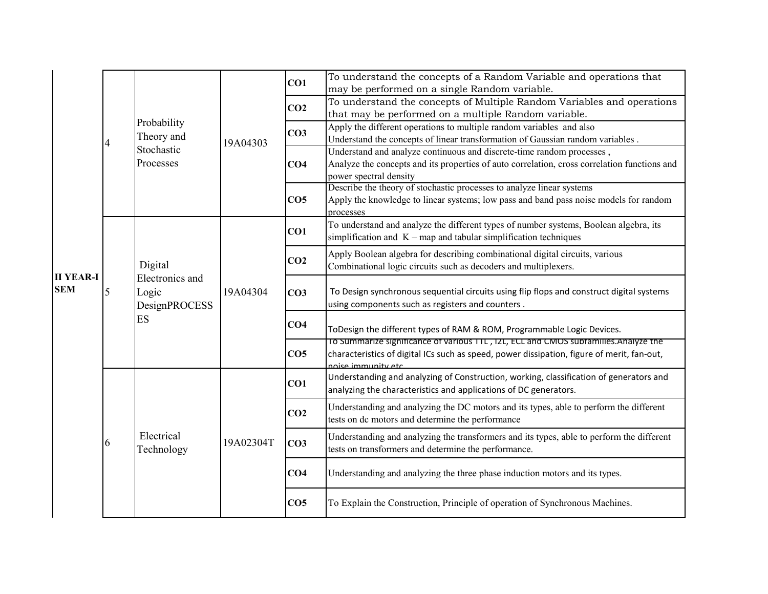|                                |   |                                                            |           |                 | To understand the concepts of a Random Variable and operations that                                                    |
|--------------------------------|---|------------------------------------------------------------|-----------|-----------------|------------------------------------------------------------------------------------------------------------------------|
|                                |   |                                                            |           | CO1             | may be performed on a single Random variable.                                                                          |
|                                |   |                                                            |           | CO <sub>2</sub> | To understand the concepts of Multiple Random Variables and operations                                                 |
|                                |   |                                                            |           |                 | that may be performed on a multiple Random variable.                                                                   |
|                                |   | Probability<br>Theory and                                  |           | CO <sub>3</sub> | Apply the different operations to multiple random variables and also                                                   |
|                                |   | Stochastic                                                 | 19A04303  |                 | Understand the concepts of linear transformation of Gaussian random variables.                                         |
|                                |   | Processes                                                  |           |                 | Understand and analyze continuous and discrete-time random processes,                                                  |
|                                |   |                                                            |           | CO <sub>4</sub> | Analyze the concepts and its properties of auto correlation, cross correlation functions and<br>power spectral density |
|                                |   |                                                            |           |                 | Describe the theory of stochastic processes to analyze linear systems                                                  |
|                                |   |                                                            |           | CO <sub>5</sub> | Apply the knowledge to linear systems; low pass and band pass noise models for random                                  |
|                                |   |                                                            |           |                 | processes                                                                                                              |
|                                | 5 |                                                            |           | CO1             | To understand and analyze the different types of number systems, Boolean algebra, its                                  |
|                                |   | Digital<br>Electronics and<br>Logic<br>DesignPROCESS<br>ES | 19A04304  |                 | simplification and $K$ – map and tabular simplification techniques                                                     |
|                                |   |                                                            |           | CO <sub>2</sub> | Apply Boolean algebra for describing combinational digital circuits, various                                           |
|                                |   |                                                            |           |                 | Combinational logic circuits such as decoders and multiplexers.                                                        |
| <b>II YEAR-I</b><br><b>SEM</b> |   |                                                            |           |                 |                                                                                                                        |
|                                |   |                                                            |           | CO <sub>3</sub> | To Design synchronous sequential circuits using flip flops and construct digital systems                               |
|                                |   |                                                            |           |                 | using components such as registers and counters.                                                                       |
|                                |   |                                                            |           | CO <sub>4</sub> | ToDesign the different types of RAM & ROM, Programmable Logic Devices.                                                 |
|                                |   |                                                            |           |                 | To Summarize significance of various TTL, IZL, ECL and CMOS subfamilies.Analyze the                                    |
|                                |   |                                                            |           | CO <sub>5</sub> | characteristics of digital ICs such as speed, power dissipation, figure of merit, fan-out,                             |
|                                |   |                                                            |           |                 | noise immunity etc.                                                                                                    |
|                                |   |                                                            |           | CO1             | Understanding and analyzing of Construction, working, classification of generators and                                 |
|                                |   |                                                            |           |                 | analyzing the characteristics and applications of DC generators.                                                       |
|                                |   |                                                            |           | CO <sub>2</sub> | Understanding and analyzing the DC motors and its types, able to perform the different                                 |
|                                |   |                                                            |           |                 | tests on dc motors and determine the performance                                                                       |
|                                | 6 | Electrical                                                 | 19A02304T | CO <sub>3</sub> | Understanding and analyzing the transformers and its types, able to perform the different                              |
|                                |   | Technology                                                 |           |                 | tests on transformers and determine the performance.                                                                   |
|                                |   |                                                            |           |                 |                                                                                                                        |
|                                |   |                                                            |           | CO <sub>4</sub> | Understanding and analyzing the three phase induction motors and its types.                                            |
|                                |   |                                                            |           |                 |                                                                                                                        |
|                                |   |                                                            |           | CO <sub>5</sub> | To Explain the Construction, Principle of operation of Synchronous Machines.                                           |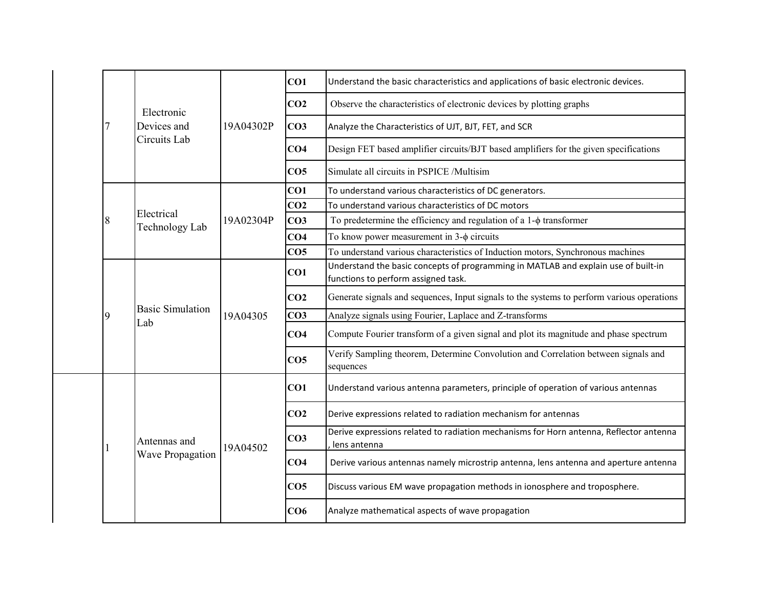|   |                                |           | CO1             | Understand the basic characteristics and applications of basic electronic devices.                                        |
|---|--------------------------------|-----------|-----------------|---------------------------------------------------------------------------------------------------------------------------|
|   | Electronic                     |           | CO <sub>2</sub> | Observe the characteristics of electronic devices by plotting graphs                                                      |
|   | Devices and                    | 19A04302P | CO <sub>3</sub> | Analyze the Characteristics of UJT, BJT, FET, and SCR                                                                     |
|   | Circuits Lab                   |           | CO <sub>4</sub> | Design FET based amplifier circuits/BJT based amplifiers for the given specifications                                     |
|   |                                |           | CO <sub>5</sub> | Simulate all circuits in PSPICE /Multisim                                                                                 |
|   |                                |           | CO1             | To understand various characteristics of DC generators.                                                                   |
|   |                                |           | CO <sub>2</sub> | To understand various characteristics of DC motors                                                                        |
| 8 | Electrical                     | 19A02304P | CO <sub>3</sub> | To predetermine the efficiency and regulation of a $1-\phi$ transformer                                                   |
|   | Technology Lab                 |           | CO <sub>4</sub> | To know power measurement in $3-\phi$ circuits                                                                            |
|   |                                |           | CO <sub>5</sub> | To understand various characteristics of Induction motors, Synchronous machines                                           |
|   |                                | 19A04305  | CO1             | Understand the basic concepts of programming in MATLAB and explain use of built-in<br>functions to perform assigned task. |
|   |                                |           | CO <sub>2</sub> | Generate signals and sequences, Input signals to the systems to perform various operations                                |
| 9 | <b>Basic Simulation</b><br>Lab |           | CO <sub>3</sub> | Analyze signals using Fourier, Laplace and Z-transforms                                                                   |
|   |                                |           | CO <sub>4</sub> | Compute Fourier transform of a given signal and plot its magnitude and phase spectrum                                     |
|   |                                |           | CO <sub>5</sub> | Verify Sampling theorem, Determine Convolution and Correlation between signals and<br>sequences                           |
|   |                                |           | CO <sub>1</sub> | Understand various antenna parameters, principle of operation of various antennas                                         |
|   |                                | 19A04502  | CO <sub>2</sub> | Derive expressions related to radiation mechanism for antennas                                                            |
|   | Antennas and                   |           | CO <sub>3</sub> | Derive expressions related to radiation mechanisms for Horn antenna, Reflector antenna<br>lens antenna                    |
|   | Wave Propagation               |           | CO <sub>4</sub> | Derive various antennas namely microstrip antenna, lens antenna and aperture antenna                                      |
|   |                                |           | CO <sub>5</sub> | Discuss various EM wave propagation methods in ionosphere and troposphere.                                                |
|   |                                |           |                 |                                                                                                                           |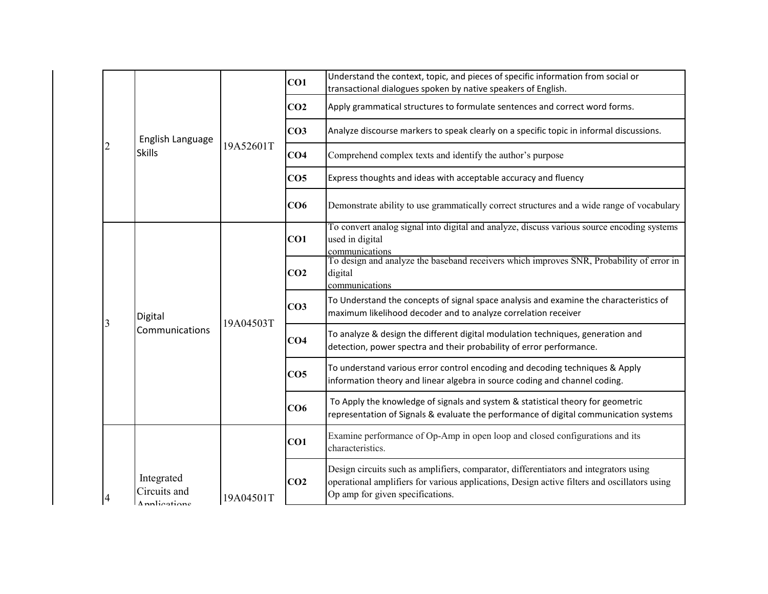|                                            |           | CO1             | Understand the context, topic, and pieces of specific information from social or<br>transactional dialogues spoken by native speakers of English.                                                                         |
|--------------------------------------------|-----------|-----------------|---------------------------------------------------------------------------------------------------------------------------------------------------------------------------------------------------------------------------|
|                                            |           | CO <sub>2</sub> | Apply grammatical structures to formulate sentences and correct word forms.                                                                                                                                               |
| English Language                           |           | CO <sub>3</sub> | Analyze discourse markers to speak clearly on a specific topic in informal discussions.                                                                                                                                   |
| <b>Skills</b>                              | 19A52601T | CO <sub>4</sub> | Comprehend complex texts and identify the author's purpose                                                                                                                                                                |
|                                            |           | CO <sub>5</sub> | Express thoughts and ideas with acceptable accuracy and fluency                                                                                                                                                           |
|                                            |           | CO6             | Demonstrate ability to use grammatically correct structures and a wide range of vocabulary                                                                                                                                |
|                                            | 19A04503T | CO1             | To convert analog signal into digital and analyze, discuss various source encoding systems<br>used in digital<br>communications                                                                                           |
|                                            |           | CO <sub>2</sub> | To design and analyze the baseband receivers which improves SNR, Probability of error in<br>digital<br>communications                                                                                                     |
| Digital                                    |           | CO <sub>3</sub> | To Understand the concepts of signal space analysis and examine the characteristics of<br>maximum likelihood decoder and to analyze correlation receiver                                                                  |
| Communications                             |           | CO <sub>4</sub> | To analyze & design the different digital modulation techniques, generation and<br>detection, power spectra and their probability of error performance.                                                                   |
|                                            |           | CO <sub>5</sub> | To understand various error control encoding and decoding techniques & Apply<br>information theory and linear algebra in source coding and channel coding.                                                                |
|                                            |           | CO6             | To Apply the knowledge of signals and system & statistical theory for geometric<br>representation of Signals & evaluate the performance of digital communication systems                                                  |
|                                            |           | CO1             | Examine performance of Op-Amp in open loop and closed configurations and its<br>characteristics.                                                                                                                          |
| Integrated<br>Circuits and<br>Applications | 19A04501T | CO <sub>2</sub> | Design circuits such as amplifiers, comparator, differentiators and integrators using<br>operational amplifiers for various applications, Design active filters and oscillators using<br>Op amp for given specifications. |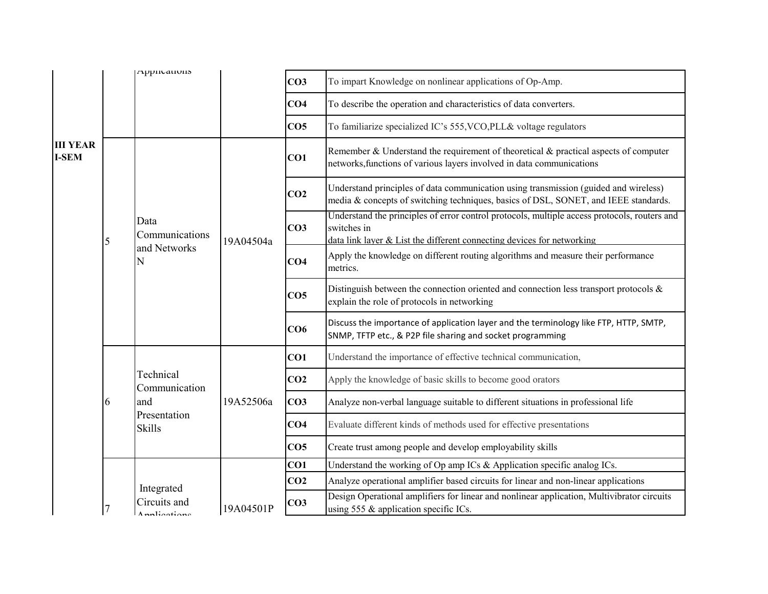|                                 |   | Applications                  |           | CO <sub>3</sub> | To impart Knowledge on nonlinear applications of Op-Amp.                                                                                                                              |
|---------------------------------|---|-------------------------------|-----------|-----------------|---------------------------------------------------------------------------------------------------------------------------------------------------------------------------------------|
|                                 |   |                               |           | CO <sub>4</sub> | To describe the operation and characteristics of data converters.                                                                                                                     |
|                                 |   |                               |           | CO <sub>5</sub> | To familiarize specialized IC's 555, VCO, PLL& voltage regulators                                                                                                                     |
| <b>III YEAR</b><br><b>I-SEM</b> |   |                               |           | CO1             | Remember & Understand the requirement of theoretical & practical aspects of computer<br>networks, functions of various layers involved in data communications                         |
|                                 |   |                               |           | CO <sub>2</sub> | Understand principles of data communication using transmission (guided and wireless)<br>media & concepts of switching techniques, basics of DSL, SONET, and IEEE standards.           |
|                                 | 5 | Data<br>Communications        | 19A04504a | CO <sub>3</sub> | Understand the principles of error control protocols, multiple access protocols, routers and<br>switches in<br>data link layer & List the different connecting devices for networking |
|                                 |   | and Networks<br>N             |           | CO <sub>4</sub> | Apply the knowledge on different routing algorithms and measure their performance<br>metrics.                                                                                         |
|                                 |   |                               |           | CO <sub>5</sub> | Distinguish between the connection oriented and connection less transport protocols $\&$<br>explain the role of protocols in networking                                               |
|                                 |   |                               |           | CO6             | Discuss the importance of application layer and the terminology like FTP, HTTP, SMTP,<br>SNMP, TFTP etc., & P2P file sharing and socket programming                                   |
|                                 |   |                               | 19A52506a | CO1             | Understand the importance of effective technical communication,                                                                                                                       |
|                                 |   | Technical<br>Communication    |           | CO <sub>2</sub> | Apply the knowledge of basic skills to become good orators                                                                                                                            |
|                                 | 6 | and                           |           | CO <sub>3</sub> | Analyze non-verbal language suitable to different situations in professional life                                                                                                     |
|                                 |   | Presentation<br><b>Skills</b> |           | CO <sub>4</sub> | Evaluate different kinds of methods used for effective presentations                                                                                                                  |
|                                 |   |                               |           | CO <sub>5</sub> | Create trust among people and develop employability skills                                                                                                                            |
|                                 |   |                               |           | CO1             | Understand the working of Op amp ICs & Application specific analog ICs.                                                                                                               |
|                                 |   | Integrated                    |           | CO <sub>2</sub> | Analyze operational amplifier based circuits for linear and non-linear applications                                                                                                   |
|                                 |   | Circuits and<br>Annliantions  | 19A04501P | CO <sub>3</sub> | Design Operational amplifiers for linear and nonlinear application, Multivibrator circuits<br>using 555 & application specific ICs.                                                   |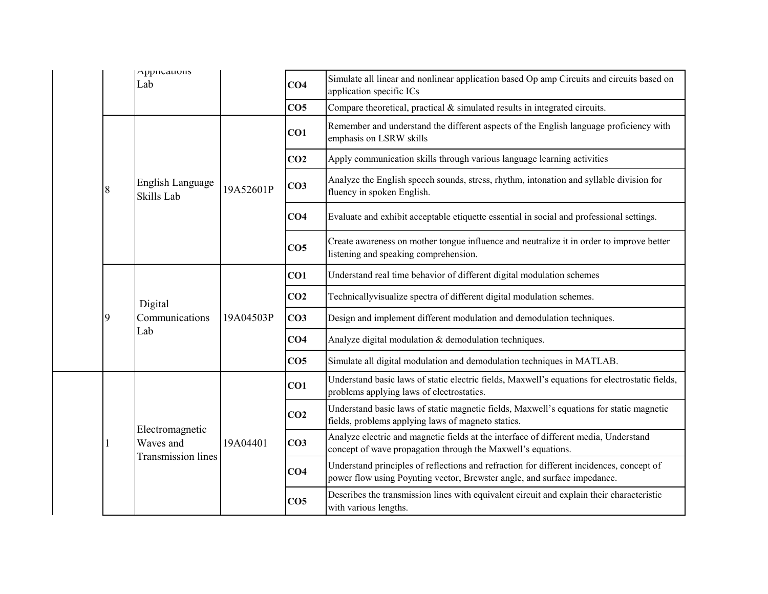| Applications<br>Lab                                       |           | CO <sub>4</sub> | Simulate all linear and nonlinear application based Op amp Circuits and circuits based on                                                                            |
|-----------------------------------------------------------|-----------|-----------------|----------------------------------------------------------------------------------------------------------------------------------------------------------------------|
|                                                           |           |                 | application specific ICs                                                                                                                                             |
|                                                           |           | CO <sub>5</sub> | Compare theoretical, practical $&$ simulated results in integrated circuits.                                                                                         |
|                                                           |           | CO1             | Remember and understand the different aspects of the English language proficiency with<br>emphasis on LSRW skills                                                    |
|                                                           |           | CO <sub>2</sub> | Apply communication skills through various language learning activities                                                                                              |
| <b>English Language</b><br>Skills Lab                     | 19A52601P | CO <sub>3</sub> | Analyze the English speech sounds, stress, rhythm, intonation and syllable division for<br>fluency in spoken English.                                                |
|                                                           |           | CO <sub>4</sub> | Evaluate and exhibit acceptable etiquette essential in social and professional settings.                                                                             |
|                                                           |           | CO <sub>5</sub> | Create awareness on mother tongue influence and neutralize it in order to improve better<br>listening and speaking comprehension.                                    |
|                                                           | 19A04503P | CO1             | Understand real time behavior of different digital modulation schemes                                                                                                |
| Digital                                                   |           | CO <sub>2</sub> | Technicallyvisualize spectra of different digital modulation schemes.                                                                                                |
| Communications                                            |           | CO <sub>3</sub> | Design and implement different modulation and demodulation techniques.                                                                                               |
| Lab                                                       |           | CO <sub>4</sub> | Analyze digital modulation & demodulation techniques.                                                                                                                |
|                                                           |           | CO <sub>5</sub> | Simulate all digital modulation and demodulation techniques in MATLAB.                                                                                               |
|                                                           | 19A04401  | CO1             | Understand basic laws of static electric fields, Maxwell's equations for electrostatic fields,<br>problems applying laws of electrostatics.                          |
|                                                           |           | CO <sub>2</sub> | Understand basic laws of static magnetic fields, Maxwell's equations for static magnetic<br>fields, problems applying laws of magneto statics.                       |
| Electromagnetic<br>Waves and<br><b>Transmission lines</b> |           | CO <sub>3</sub> | Analyze electric and magnetic fields at the interface of different media, Understand<br>concept of wave propagation through the Maxwell's equations.                 |
|                                                           |           | CO <sub>4</sub> | Understand principles of reflections and refraction for different incidences, concept of<br>power flow using Poynting vector, Brewster angle, and surface impedance. |
|                                                           |           | CO <sub>5</sub> | Describes the transmission lines with equivalent circuit and explain their characteristic<br>with various lengths.                                                   |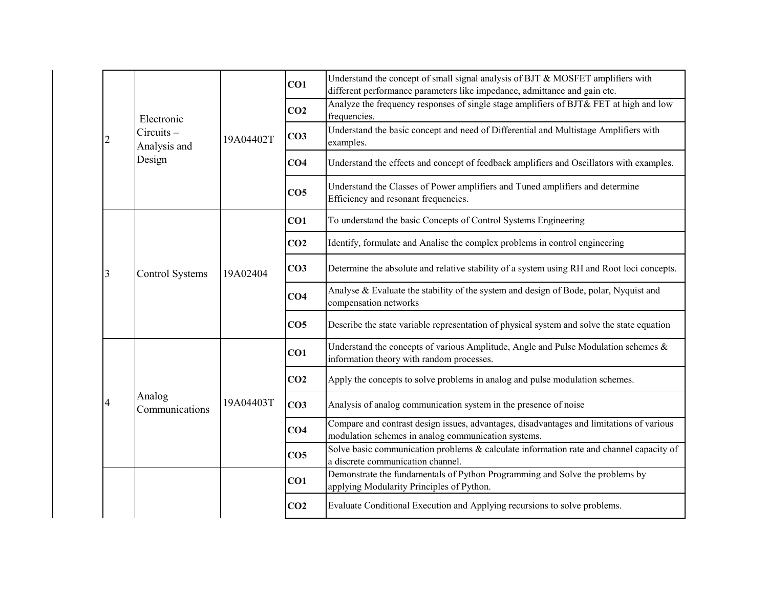|   |                           |           | CO1             | Understand the concept of small signal analysis of BJT & MOSFET amplifiers with<br>different performance parameters like impedance, admittance and gain etc. |
|---|---------------------------|-----------|-----------------|--------------------------------------------------------------------------------------------------------------------------------------------------------------|
|   | Electronic                |           | CO <sub>2</sub> | Analyze the frequency responses of single stage amplifiers of BJT& FET at high and low<br>frequencies.                                                       |
|   | Circuits-<br>Analysis and | 19A04402T | CO <sub>3</sub> | Understand the basic concept and need of Differential and Multistage Amplifiers with<br>examples.                                                            |
|   | Design                    |           | CO <sub>4</sub> | Understand the effects and concept of feedback amplifiers and Oscillators with examples.                                                                     |
|   |                           |           | CO <sub>5</sub> | Understand the Classes of Power amplifiers and Tuned amplifiers and determine<br>Efficiency and resonant frequencies.                                        |
|   |                           |           | CO1             | To understand the basic Concepts of Control Systems Engineering                                                                                              |
|   |                           |           | CO <sub>2</sub> | Identify, formulate and Analise the complex problems in control engineering                                                                                  |
| 3 | <b>Control Systems</b>    | 19A02404  | CO <sub>3</sub> | Determine the absolute and relative stability of a system using RH and Root loci concepts.                                                                   |
|   |                           |           | CO <sub>4</sub> | Analyse & Evaluate the stability of the system and design of Bode, polar, Nyquist and<br>compensation networks                                               |
|   |                           |           | CO <sub>5</sub> | Describe the state variable representation of physical system and solve the state equation                                                                   |
|   |                           |           | CO <sub>1</sub> | Understand the concepts of various Amplitude, Angle and Pulse Modulation schemes &<br>information theory with random processes.                              |
|   |                           |           | CO <sub>2</sub> | Apply the concepts to solve problems in analog and pulse modulation schemes.                                                                                 |
|   | Analog<br>Communications  | 19A04403T | CO <sub>3</sub> | Analysis of analog communication system in the presence of noise                                                                                             |
|   |                           |           | CO <sub>4</sub> | Compare and contrast design issues, advantages, disadvantages and limitations of various<br>modulation schemes in analog communication systems.              |
|   |                           |           | CO <sub>5</sub> | Solve basic communication problems & calculate information rate and channel capacity of<br>a discrete communication channel.                                 |
|   |                           |           | CO1             | Demonstrate the fundamentals of Python Programming and Solve the problems by<br>applying Modularity Principles of Python.                                    |
|   |                           |           | CO <sub>2</sub> | Evaluate Conditional Execution and Applying recursions to solve problems.                                                                                    |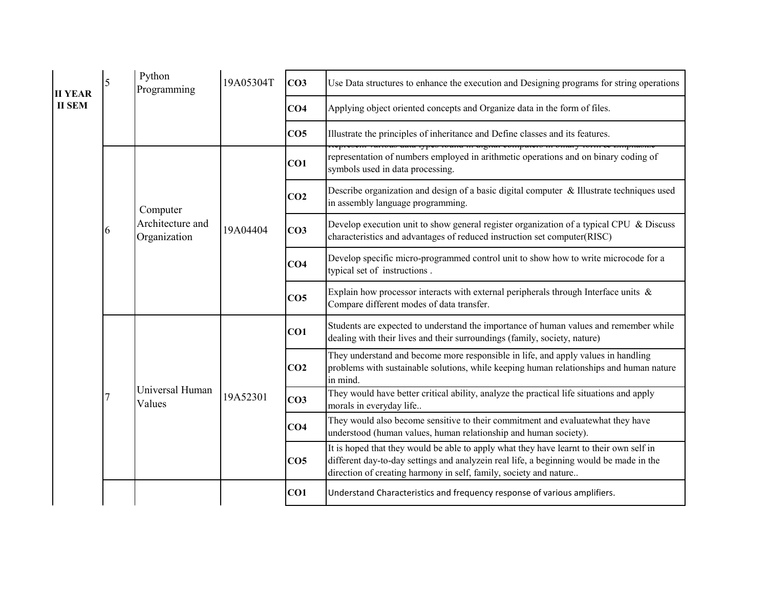| <b>II YEAR</b> |  | 5 | Python<br>Programming            | 19A05304T | CO <sub>3</sub> | Use Data structures to enhance the execution and Designing programs for string operations                                                                                                                                                               |
|----------------|--|---|----------------------------------|-----------|-----------------|---------------------------------------------------------------------------------------------------------------------------------------------------------------------------------------------------------------------------------------------------------|
| <b>II SEM</b>  |  |   |                                  |           | CO <sub>4</sub> | Applying object oriented concepts and Organize data in the form of files.                                                                                                                                                                               |
|                |  |   |                                  |           | CO <sub>5</sub> | Illustrate the principles of inheritance and Define classes and its features.                                                                                                                                                                           |
|                |  |   |                                  |           | CO1             | representation of numbers employed in arithmetic operations and on binary coding of<br>symbols used in data processing.                                                                                                                                 |
|                |  |   | Computer                         | 19A04404  | CO <sub>2</sub> | Describe organization and design of a basic digital computer & Illustrate techniques used<br>in assembly language programming.                                                                                                                          |
|                |  | 6 | Architecture and<br>Organization |           | CO <sub>3</sub> | Develop execution unit to show general register organization of a typical CPU $\&$ Discuss<br>characteristics and advantages of reduced instruction set computer(RISC)                                                                                  |
|                |  |   |                                  |           | CO <sub>4</sub> | Develop specific micro-programmed control unit to show how to write microcode for a<br>typical set of instructions.                                                                                                                                     |
|                |  |   |                                  |           | CO <sub>5</sub> | Explain how processor interacts with external peripherals through Interface units $\&$<br>Compare different modes of data transfer.                                                                                                                     |
|                |  |   |                                  | 19A52301  | CO1             | Students are expected to understand the importance of human values and remember while<br>dealing with their lives and their surroundings (family, society, nature)                                                                                      |
|                |  |   |                                  |           | CO <sub>2</sub> | They understand and become more responsible in life, and apply values in handling<br>problems with sustainable solutions, while keeping human relationships and human nature<br>in mind.                                                                |
|                |  |   | Universal Human<br>Values        |           | CO <sub>3</sub> | They would have better critical ability, analyze the practical life situations and apply<br>morals in everyday life                                                                                                                                     |
|                |  |   |                                  |           | CO <sub>4</sub> | They would also become sensitive to their commitment and evaluatewhat they have<br>understood (human values, human relationship and human society).                                                                                                     |
|                |  |   |                                  |           | CO <sub>5</sub> | It is hoped that they would be able to apply what they have learnt to their own self in<br>different day-to-day settings and analyzein real life, a beginning would be made in the<br>direction of creating harmony in self, family, society and nature |
|                |  |   |                                  |           | CO1             | Understand Characteristics and frequency response of various amplifiers.                                                                                                                                                                                |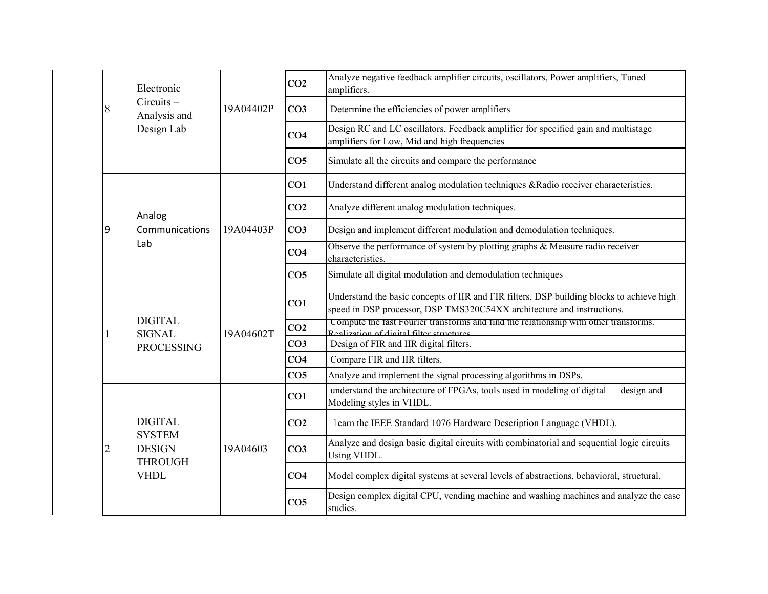|  |   | Electronic<br>Circuits-<br>Analysis and              | 19A04402P | CO <sub>2</sub> | Analyze negative feedback amplifier circuits, oscillators, Power amplifiers, Tuned<br>amplifiers.                                                                   |
|--|---|------------------------------------------------------|-----------|-----------------|---------------------------------------------------------------------------------------------------------------------------------------------------------------------|
|  | 8 |                                                      |           | CO <sub>3</sub> | Determine the efficiencies of power amplifiers                                                                                                                      |
|  |   | Design Lab                                           |           | CO <sub>4</sub> | Design RC and LC oscillators, Feedback amplifier for specified gain and multistage<br>amplifiers for Low, Mid and high frequencies                                  |
|  |   |                                                      |           | CO <sub>5</sub> | Simulate all the circuits and compare the performance                                                                                                               |
|  |   |                                                      |           | CO1             | Understand different analog modulation techniques &Radio receiver characteristics.                                                                                  |
|  |   | Analog                                               | 19A04403P | CO <sub>2</sub> | Analyze different analog modulation techniques.                                                                                                                     |
|  | 9 | Communications                                       |           | CO <sub>3</sub> | Design and implement different modulation and demodulation techniques.                                                                                              |
|  |   | Lab                                                  |           | CO <sub>4</sub> | Observe the performance of system by plotting graphs $\&$ Measure radio receiver<br>characteristics.                                                                |
|  |   |                                                      |           | CO <sub>5</sub> | Simulate all digital modulation and demodulation techniques                                                                                                         |
|  |   | <b>DIGITAL</b><br><b>SIGNAL</b><br><b>PROCESSING</b> | 19A04602T | CO1             | Understand the basic concepts of IIR and FIR filters, DSP building blocks to achieve high<br>speed in DSP processor, DSP TMS320C54XX architecture and instructions. |
|  |   |                                                      |           | CO <sub>2</sub> | Compute the fast Fourier transforms and find the relationship with other transforms.<br>Realization of digital filter structures                                    |
|  |   |                                                      |           | CO <sub>3</sub> | Design of FIR and IIR digital filters.                                                                                                                              |
|  |   |                                                      |           | CO <sub>4</sub> | Compare FIR and IIR filters.                                                                                                                                        |
|  |   |                                                      |           | CO <sub>5</sub> | Analyze and implement the signal processing algorithms in DSPs.                                                                                                     |
|  |   |                                                      | 19A04603  | CO1             | understand the architecture of FPGAs, tools used in modeling of digital<br>design and<br>Modeling styles in VHDL.                                                   |
|  |   | <b>DIGITAL</b><br><b>SYSTEM</b>                      |           | CO <sub>2</sub> | learn the IEEE Standard 1076 Hardware Description Language (VHDL).                                                                                                  |
|  |   | <b>DESIGN</b><br><b>THROUGH</b>                      |           | CO <sub>3</sub> | Analyze and design basic digital circuits with combinatorial and sequential logic circuits<br>Using VHDL.                                                           |
|  |   | <b>VHDL</b>                                          |           | CO <sub>4</sub> | Model complex digital systems at several levels of abstractions, behavioral, structural.                                                                            |
|  |   |                                                      |           | CO <sub>5</sub> | Design complex digital CPU, vending machine and washing machines and analyze the case<br>studies.                                                                   |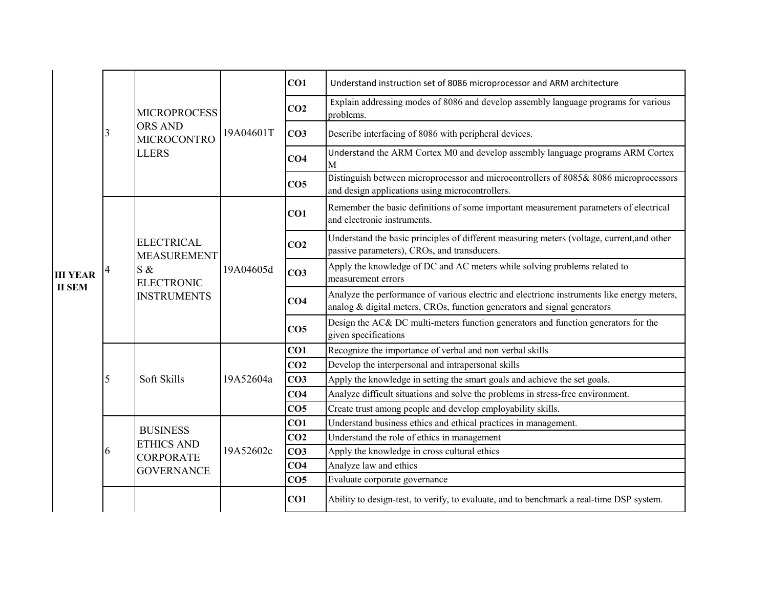|                                  |   | <b>MICROPROCESS</b>                            |           | CO <sub>1</sub> | Understand instruction set of 8086 microprocessor and ARM architecture                                                                                                 |
|----------------------------------|---|------------------------------------------------|-----------|-----------------|------------------------------------------------------------------------------------------------------------------------------------------------------------------------|
|                                  |   |                                                |           | CO <sub>2</sub> | Explain addressing modes of 8086 and develop assembly language programs for various<br>problems.                                                                       |
|                                  | 3 | <b>ORS AND</b><br><b>MICROCONTRO</b>           | 19A04601T | CO <sub>3</sub> | Describe interfacing of 8086 with peripheral devices.                                                                                                                  |
|                                  |   | <b>LLERS</b>                                   |           | CO <sub>4</sub> | Understand the ARM Cortex M0 and develop assembly language programs ARM Cortex<br>M                                                                                    |
|                                  |   |                                                |           | CO <sub>5</sub> | Distinguish between microprocessor and microcontrollers of 8085& 8086 microprocessors<br>and design applications using microcontrollers.                               |
|                                  |   |                                                | 19A04605d | CO1             | Remember the basic definitions of some important measurement parameters of electrical<br>and electronic instruments.                                                   |
|                                  |   | <b>ELECTRICAL</b><br><b>MEASUREMENT</b>        |           | CO <sub>2</sub> | Understand the basic principles of different measuring meters (voltage, current, and other<br>passive parameters), CROs, and transducers.                              |
| <b>III YEAR</b><br><b>II SEM</b> |   | S &<br><b>ELECTRONIC</b><br><b>INSTRUMENTS</b> |           | CO <sub>3</sub> | Apply the knowledge of DC and AC meters while solving problems related to<br>measurement errors                                                                        |
|                                  |   |                                                |           | CO <sub>4</sub> | Analyze the performance of various electric and electrionc instruments like energy meters,<br>analog & digital meters, CROs, function generators and signal generators |
|                                  |   |                                                |           | CO <sub>5</sub> | Design the AC& DC multi-meters function generators and function generators for the<br>given specifications                                                             |
|                                  |   |                                                |           | CO1             | Recognize the importance of verbal and non verbal skills                                                                                                               |
|                                  |   |                                                |           | CO <sub>2</sub> | Develop the interpersonal and intrapersonal skills                                                                                                                     |
|                                  | 5 | Soft Skills                                    | 19A52604a | CO <sub>3</sub> | Apply the knowledge in setting the smart goals and achieve the set goals.                                                                                              |
|                                  |   |                                                |           | CO <sub>4</sub> | Analyze difficult situations and solve the problems in stress-free environment.                                                                                        |
|                                  |   |                                                |           | CO <sub>5</sub> | Create trust among people and develop employability skills.                                                                                                            |
|                                  |   | <b>BUSINESS</b>                                |           | CO <sub>1</sub> | Understand business ethics and ethical practices in management.                                                                                                        |
|                                  |   | <b>ETHICS AND</b>                              |           | CO <sub>2</sub> | Understand the role of ethics in management                                                                                                                            |
|                                  | h | <b>CORPORATE</b>                               | 19A52602c | CO <sub>3</sub> | Apply the knowledge in cross cultural ethics                                                                                                                           |
|                                  |   | <b>GOVERNANCE</b>                              |           | CO <sub>4</sub> | Analyze law and ethics                                                                                                                                                 |
|                                  |   |                                                |           | CO <sub>5</sub> | Evaluate corporate governance                                                                                                                                          |
|                                  |   |                                                |           | CO1             | Ability to design-test, to verify, to evaluate, and to benchmark a real-time DSP system.                                                                               |